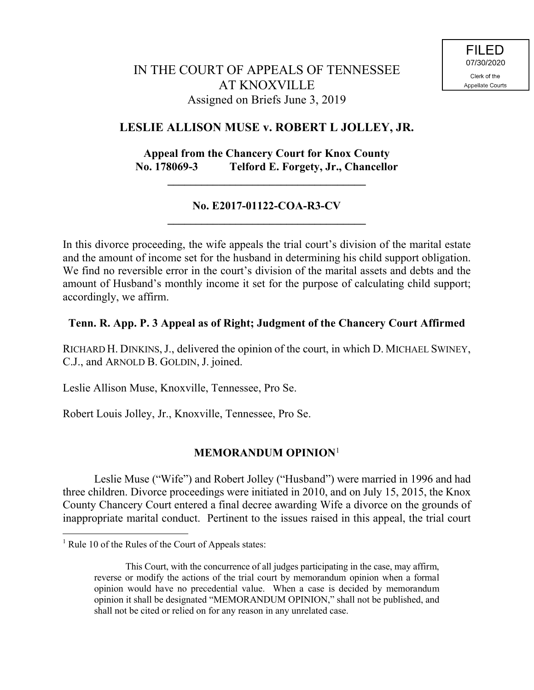# IN THE COURT OF APPEALS OF TENNESSEE AT KNOXVILLE Assigned on Briefs June 3, 2019

# **LESLIE ALLISON MUSE v. ROBERT L JOLLEY, JR.**

#### **Appeal from the Chancery Court for Knox County No. 178069-3 Telford E. Forgety, Jr., Chancellor**

**\_\_\_\_\_\_\_\_\_\_\_\_\_\_\_\_\_\_\_\_\_\_\_\_\_\_\_\_\_\_\_\_\_\_\_**

#### **No. E2017-01122-COA-R3-CV \_\_\_\_\_\_\_\_\_\_\_\_\_\_\_\_\_\_\_\_\_\_\_\_\_\_\_\_\_\_\_\_\_\_\_**

In this divorce proceeding, the wife appeals the trial court's division of the marital estate and the amount of income set for the husband in determining his child support obligation. We find no reversible error in the court's division of the marital assets and debts and the amount of Husband's monthly income it set for the purpose of calculating child support; accordingly, we affirm.

# **Tenn. R. App. P. 3 Appeal as of Right; Judgment of the Chancery Court Affirmed**

RICHARD H. DINKINS, J., delivered the opinion of the court, in which D. MICHAEL SWINEY, C.J., and ARNOLD B. GOLDIN, J. joined.

Leslie Allison Muse, Knoxville, Tennessee, Pro Se.

Robert Louis Jolley, Jr., Knoxville, Tennessee, Pro Se.

# **MEMORANDUM OPINION**<sup>1</sup>

Leslie Muse ("Wife") and Robert Jolley ("Husband") were married in 1996 and had three children. Divorce proceedings were initiated in 2010, and on July 15, 2015, the Knox County Chancery Court entered a final decree awarding Wife a divorce on the grounds of inappropriate marital conduct. Pertinent to the issues raised in this appeal, the trial court

 $\overline{a}$ 

<sup>&</sup>lt;sup>1</sup> Rule 10 of the Rules of the Court of Appeals states:

This Court, with the concurrence of all judges participating in the case, may affirm, reverse or modify the actions of the trial court by memorandum opinion when a formal opinion would have no precedential value. When a case is decided by memorandum opinion it shall be designated "MEMORANDUM OPINION," shall not be published, and shall not be cited or relied on for any reason in any unrelated case.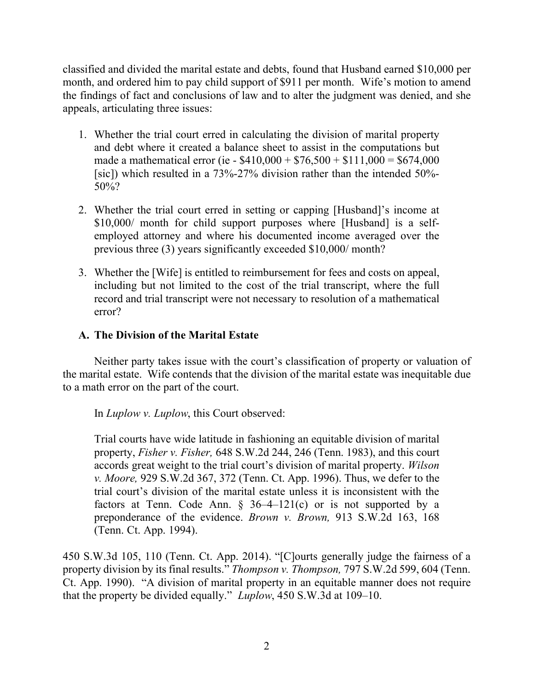classified and divided the marital estate and debts, found that Husband earned \$10,000 per month, and ordered him to pay child support of \$911 per month. Wife's motion to amend the findings of fact and conclusions of law and to alter the judgment was denied, and she appeals, articulating three issues:

- 1. Whether the trial court erred in calculating the division of marital property and debt where it created a balance sheet to assist in the computations but made a mathematical error (ie -  $$410,000 + $76,500 + $111,000 = $674,000$ [sic]) which resulted in a 73%-27% division rather than the intended 50%- 50%?
- 2. Whether the trial court erred in setting or capping [Husband]'s income at \$10,000/ month for child support purposes where [Husband] is a selfemployed attorney and where his documented income averaged over the previous three (3) years significantly exceeded \$10,000/ month?
- 3. Whether the [Wife] is entitled to reimbursement for fees and costs on appeal, including but not limited to the cost of the trial transcript, where the full record and trial transcript were not necessary to resolution of a mathematical error?

# **A. The Division of the Marital Estate**

Neither party takes issue with the court's classification of property or valuation of the marital estate. Wife contends that the division of the marital estate was inequitable due to a math error on the part of the court.

In *Luplow v. Luplow*, this Court observed:

Trial courts have wide latitude in fashioning an equitable division of marital property, *Fisher v. Fisher,* 648 S.W.2d 244, 246 (Tenn. 1983), and this court accords great weight to the trial court's division of marital property. *Wilson v. Moore,* 929 S.W.2d 367, 372 (Tenn. Ct. App. 1996). Thus, we defer to the trial court's division of the marital estate unless it is inconsistent with the factors at Tenn. Code Ann.  $\S$  36-4-121(c) or is not supported by a preponderance of the evidence. *Brown v. Brown,* 913 S.W.2d 163, 168 (Tenn. Ct. App. 1994).

450 S.W.3d 105, 110 (Tenn. Ct. App. 2014). "[C]ourts generally judge the fairness of a property division by its final results." *Thompson v. Thompson,* 797 S.W.2d 599, 604 (Tenn. Ct. App. 1990). "A division of marital property in an equitable manner does not require that the property be divided equally." *Luplow*, 450 S.W.3d at 109–10.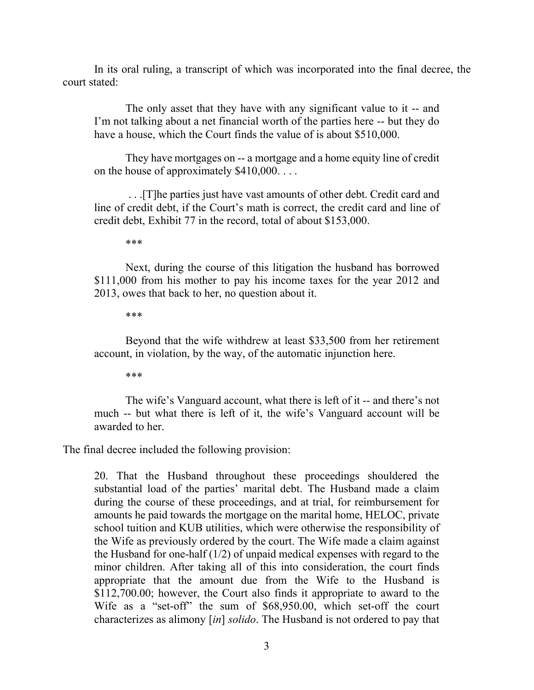In its oral ruling, a transcript of which was incorporated into the final decree, the court stated:

The only asset that they have with any significant value to it -- and I'm not talking about a net financial worth of the parties here -- but they do have a house, which the Court finds the value of is about \$510,000.

They have mortgages on -- a mortgage and a home equity line of credit on the house of approximately \$410,000. . . .

. . .[T]he parties just have vast amounts of other debt. Credit card and line of credit debt, if the Court's math is correct, the credit card and line of credit debt, Exhibit 77 in the record, total of about \$153,000.

\*\*\*

Next, during the course of this litigation the husband has borrowed \$111,000 from his mother to pay his income taxes for the year 2012 and 2013, owes that back to her, no question about it.

\*\*\*

Beyond that the wife withdrew at least \$33,500 from her retirement account, in violation, by the way, of the automatic injunction here.

\*\*\*

The wife's Vanguard account, what there is left of it -- and there's not much -- but what there is left of it, the wife's Vanguard account will be awarded to her.

The final decree included the following provision:

20. That the Husband throughout these proceedings shouldered the substantial load of the parties' marital debt. The Husband made a claim during the course of these proceedings, and at trial, for reimbursement for amounts he paid towards the mortgage on the marital home, HELOC, private school tuition and KUB utilities, which were otherwise the responsibility of the Wife as previously ordered by the court. The Wife made a claim against the Husband for one-half (1/2) of unpaid medical expenses with regard to the minor children. After taking all of this into consideration, the court finds appropriate that the amount due from the Wife to the Husband is \$112,700.00; however, the Court also finds it appropriate to award to the Wife as a "set-off" the sum of \$68,950.00, which set-off the court characterizes as alimony [*in*] *solido*. The Husband is not ordered to pay that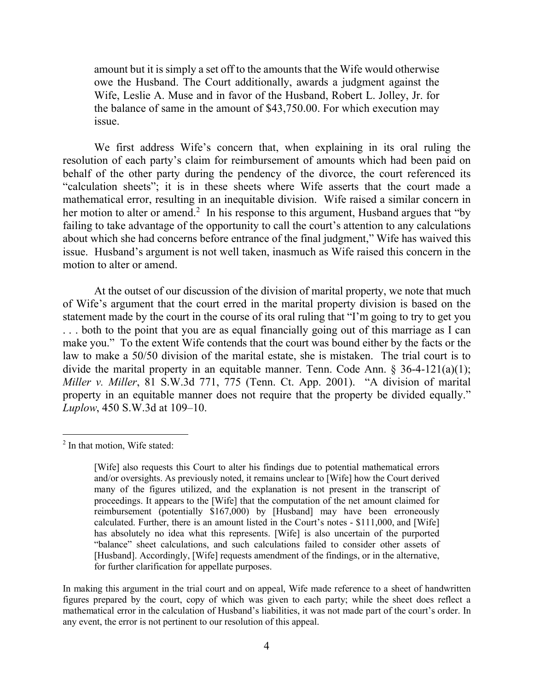amount but it is simply a set off to the amounts that the Wife would otherwise owe the Husband. The Court additionally, awards a judgment against the Wife, Leslie A. Muse and in favor of the Husband, Robert L. Jolley, Jr. for the balance of same in the amount of \$43,750.00. For which execution may issue.

We first address Wife's concern that, when explaining in its oral ruling the resolution of each party's claim for reimbursement of amounts which had been paid on behalf of the other party during the pendency of the divorce, the court referenced its "calculation sheets"; it is in these sheets where Wife asserts that the court made a mathematical error, resulting in an inequitable division. Wife raised a similar concern in her motion to alter or amend.<sup>2</sup> In his response to this argument, Husband argues that "by failing to take advantage of the opportunity to call the court's attention to any calculations about which she had concerns before entrance of the final judgment," Wife has waived this issue. Husband's argument is not well taken, inasmuch as Wife raised this concern in the motion to alter or amend.

At the outset of our discussion of the division of marital property, we note that much of Wife's argument that the court erred in the marital property division is based on the statement made by the court in the course of its oral ruling that "I'm going to try to get you . . . both to the point that you are as equal financially going out of this marriage as I can make you." To the extent Wife contends that the court was bound either by the facts or the law to make a 50/50 division of the marital estate, she is mistaken. The trial court is to divide the marital property in an equitable manner. Tenn. Code Ann. § 36-4-121(a)(1); *Miller v. Miller*, 81 S.W.3d 771, 775 (Tenn. Ct. App. 2001). "A division of marital property in an equitable manner does not require that the property be divided equally." *Luplow*, 450 S.W.3d at 109–10.

 $\overline{a}$ 

 $2$  In that motion, Wife stated:

<sup>[</sup>Wife] also requests this Court to alter his findings due to potential mathematical errors and/or oversights. As previously noted, it remains unclear to [Wife] how the Court derived many of the figures utilized, and the explanation is not present in the transcript of proceedings. It appears to the [Wife] that the computation of the net amount claimed for reimbursement (potentially \$167,000) by [Husband] may have been erroneously calculated. Further, there is an amount listed in the Court's notes - \$111,000, and [Wife] has absolutely no idea what this represents. [Wife] is also uncertain of the purported "balance" sheet calculations, and such calculations failed to consider other assets of [Husband]. Accordingly, [Wife] requests amendment of the findings, or in the alternative, for further clarification for appellate purposes.

In making this argument in the trial court and on appeal, Wife made reference to a sheet of handwritten figures prepared by the court, copy of which was given to each party; while the sheet does reflect a mathematical error in the calculation of Husband's liabilities, it was not made part of the court's order. In any event, the error is not pertinent to our resolution of this appeal.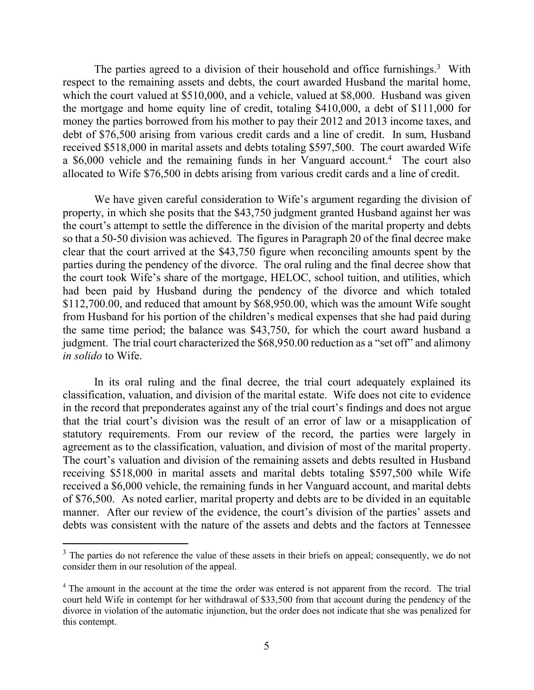The parties agreed to a division of their household and office furnishings.<sup>3</sup> With respect to the remaining assets and debts, the court awarded Husband the marital home, which the court valued at \$510,000, and a vehicle, valued at \$8,000. Husband was given the mortgage and home equity line of credit, totaling \$410,000, a debt of \$111,000 for money the parties borrowed from his mother to pay their 2012 and 2013 income taxes, and debt of \$76,500 arising from various credit cards and a line of credit. In sum, Husband received \$518,000 in marital assets and debts totaling \$597,500. The court awarded Wife a \$6,000 vehicle and the remaining funds in her Vanguard account. <sup>4</sup> The court also allocated to Wife \$76,500 in debts arising from various credit cards and a line of credit.

We have given careful consideration to Wife's argument regarding the division of property, in which she posits that the \$43,750 judgment granted Husband against her was the court's attempt to settle the difference in the division of the marital property and debts so that a 50-50 division was achieved. The figures in Paragraph 20 of the final decree make clear that the court arrived at the \$43,750 figure when reconciling amounts spent by the parties during the pendency of the divorce. The oral ruling and the final decree show that the court took Wife's share of the mortgage, HELOC, school tuition, and utilities, which had been paid by Husband during the pendency of the divorce and which totaled \$112,700.00, and reduced that amount by \$68,950.00, which was the amount Wife sought from Husband for his portion of the children's medical expenses that she had paid during the same time period; the balance was \$43,750, for which the court award husband a judgment. The trial court characterized the \$68,950.00 reduction as a "set off" and alimony *in solido* to Wife.

In its oral ruling and the final decree, the trial court adequately explained its classification, valuation, and division of the marital estate. Wife does not cite to evidence in the record that preponderates against any of the trial court's findings and does not argue that the trial court's division was the result of an error of law or a misapplication of statutory requirements. From our review of the record, the parties were largely in agreement as to the classification, valuation, and division of most of the marital property. The court's valuation and division of the remaining assets and debts resulted in Husband receiving \$518,000 in marital assets and marital debts totaling \$597,500 while Wife received a \$6,000 vehicle, the remaining funds in her Vanguard account, and marital debts of \$76,500. As noted earlier, marital property and debts are to be divided in an equitable manner. After our review of the evidence, the court's division of the parties' assets and debts was consistent with the nature of the assets and debts and the factors at Tennessee

<sup>&</sup>lt;sup>3</sup> The parties do not reference the value of these assets in their briefs on appeal; consequently, we do not consider them in our resolution of the appeal.

<sup>&</sup>lt;sup>4</sup> The amount in the account at the time the order was entered is not apparent from the record. The trial court held Wife in contempt for her withdrawal of \$33,500 from that account during the pendency of the divorce in violation of the automatic injunction, but the order does not indicate that she was penalized for this contempt.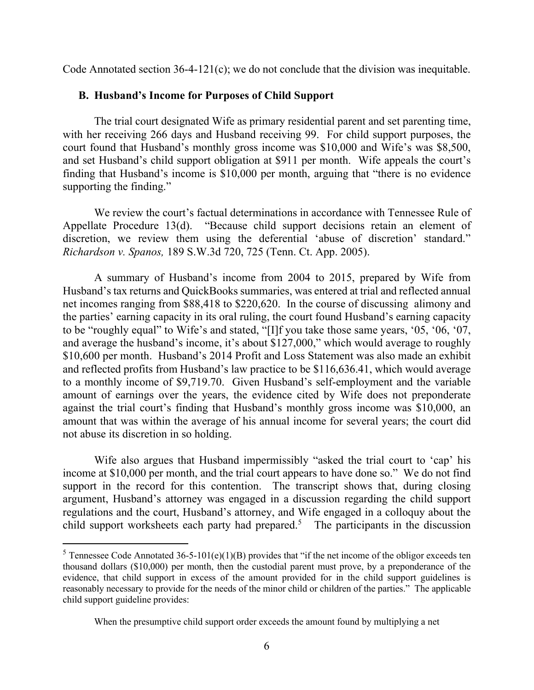Code Annotated section 36-4-121(c); we do not conclude that the division was inequitable.

#### **B. Husband's Income for Purposes of Child Support**

The trial court designated Wife as primary residential parent and set parenting time, with her receiving 266 days and Husband receiving 99. For child support purposes, the court found that Husband's monthly gross income was \$10,000 and Wife's was \$8,500, and set Husband's child support obligation at \$911 per month. Wife appeals the court's finding that Husband's income is \$10,000 per month, arguing that "there is no evidence supporting the finding."

We review the court's factual determinations in accordance with Tennessee Rule of Appellate Procedure 13(d). "Because child support decisions retain an element of discretion, we review them using the deferential 'abuse of discretion' standard." *Richardson v. Spanos,* 189 S.W.3d 720, 725 (Tenn. Ct. App. 2005).

A summary of Husband's income from 2004 to 2015, prepared by Wife from Husband's tax returns and QuickBooks summaries, was entered at trial and reflected annual net incomes ranging from \$88,418 to \$220,620. In the course of discussing alimony and the parties' earning capacity in its oral ruling, the court found Husband's earning capacity to be "roughly equal" to Wife's and stated, "[I]f you take those same years, '05, '06, '07, and average the husband's income, it's about \$127,000," which would average to roughly \$10,600 per month. Husband's 2014 Profit and Loss Statement was also made an exhibit and reflected profits from Husband's law practice to be \$116,636.41, which would average to a monthly income of \$9,719.70. Given Husband's self-employment and the variable amount of earnings over the years, the evidence cited by Wife does not preponderate against the trial court's finding that Husband's monthly gross income was \$10,000, an amount that was within the average of his annual income for several years; the court did not abuse its discretion in so holding.

Wife also argues that Husband impermissibly "asked the trial court to 'cap' his income at \$10,000 per month, and the trial court appears to have done so." We do not find support in the record for this contention. The transcript shows that, during closing argument, Husband's attorney was engaged in a discussion regarding the child support regulations and the court, Husband's attorney, and Wife engaged in a colloquy about the child support worksheets each party had prepared. 5 The participants in the discussion

<sup>&</sup>lt;sup>5</sup> Tennessee Code Annotated 36-5-101(e)(1)(B) provides that "if the net income of the obligor exceeds ten thousand dollars (\$10,000) per month, then the custodial parent must prove, by a preponderance of the evidence, that child support in excess of the amount provided for in the child support guidelines is reasonably necessary to provide for the needs of the minor child or children of the parties." The applicable child support guideline provides:

When the presumptive child support order exceeds the amount found by multiplying a net